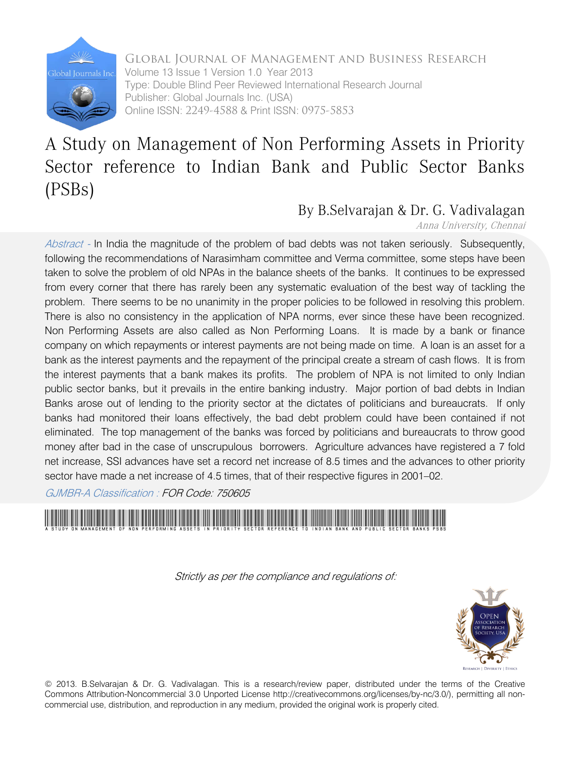

Global Journal of Management and Business Research Volume 13 Issue 1 Version 1.0 Year 2013 Type: Double Blind Peer Reviewed International Research Journal Publisher: Global Journals Inc. (USA) Online ISSN: 2249-4588 & Print ISSN: 0975-5853

## A Study on Management of Non Performing Assets in Priority Sector reference to Indian Bank and Public Sector Banks (PSBs)

## By B.Selvarajan & Dr. G. Vadivalagan

#### Anna University, Chennai

Abstract - In India the magnitude of the problem of bad debts was not taken seriously. Subsequently, following the recommendations of Narasimham committee and Verma committee, some steps have been taken to solve the problem of old NPAs in the balance sheets of the banks. It continues to be expressed from every corner that there has rarely been any systematic evaluation of the best way of tackling the problem. There seems to be no unanimity in the proper policies to be followed in resolving this problem. There is also no consistency in the application of NPA norms, ever since these have been recognized. Non Performing Assets are also called as Non Performing Loans. It is made by a bank or finance company on which repayments or interest payments are not being made on time. A loan is an asset for a bank as the interest payments and the repayment of the principal create a stream of cash flows. It is from the interest payments that a bank makes its profits. The problem of NPA is not limited to only Indian public sector banks, but it prevails in the entire banking industry. Major portion of bad debts in Indian Banks arose out of lending to the priority sector at the dictates of politicians and bureaucrats. If only banks had monitored their loans effectively, the bad debt problem could have been contained if not eliminated. The top management of the banks was forced by politicians and bureaucrats to throw good money after bad in the case of unscrupulous borrowers. Agriculture advances have registered a 7 fold net increase, SSI advances have set a record net increase of 8.5 times and the advances to other priority sector have made a net increase of 4.5 times, that of their respective figures in 2001–02.

GJMBR-A Classification : FOR Code: 750605

A Study on Management of Non Performing Assets in Priority Sector reference to Indian Bank and Public Sector Banks PSBs

Strictly as per the compliance and regulations of:



© 2013. B.Selvarajan & Dr. G. Vadivalagan. This is a research/review paper, distributed under the terms of the Creative Commons Attribution-Noncommercial 3.0 Unported License http://creativecommons.org/licenses/by-nc/3.0/), permitting all noncommercial use, distribution, and reproduction in any medium, provided the original work is properly cited.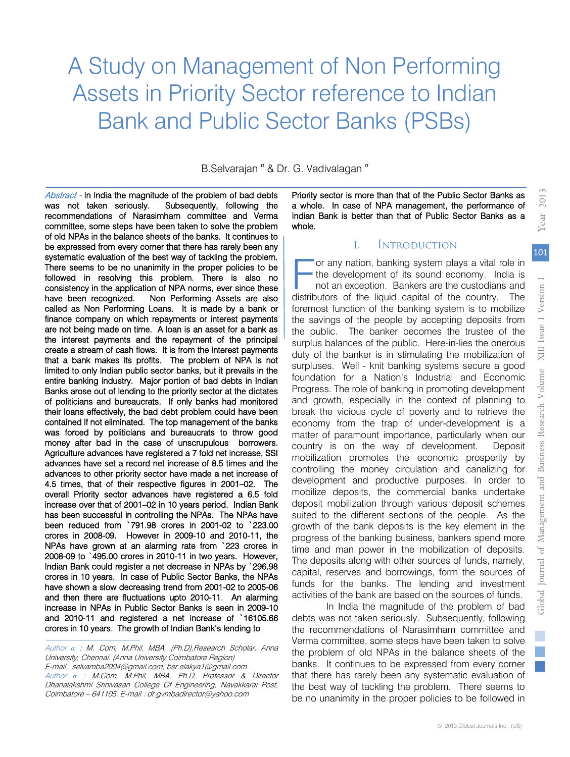# A Study on Management of Non Performing Assets in Priority Sector reference to Indian Bank and Public Sector Banks (PSBs)

B.Selvarajan <sup>«</sup> & Dr. G. Vadivalagan <sup>«</sup>

 Agriculture advances have registered a 7 fold net increase, SSI advances have set a record net increase of 8.5 times and the overall Priority sector advances have registered a 6.5 fold Abstract - In India the magnitude of the problem of bad debts was not taken seriously. Subsequently, following the recommendations of Narasimham committee and Verma committee, some steps have been taken to solve the problem of old NPAs in the balance sheets of the banks. It continues to be expressed from every corner that there has rarely been any systematic evaluation of the best way of tackling the problem. There seems to be no unanimity in the proper policies to be followed in resolving this problem. There is also no consistency in the application of NPA norms, ever since these have been recognized. Non Performing Assets are also called as Non Performing Loans. It is made by a bank or finance company on which repayments or interest payments are not being made on time. A loan is an asset for a bank as the interest payments and the repayment of the principal create a stream of cash flows. It is from the interest payments that a bank makes its profits. The problem of NPA is not limited to only Indian public sector banks, but it prevails in the entire banking industry. Major portion of bad debts in Indian Banks arose out of lending to the priority sector at the dictates of politicians and bureaucrats. If only banks had monitored their loans effectively, the bad debt problem could have been contained if not eliminated. The top management of the banks was forced by politicians and bureaucrats to throw good money after bad in the case of unscrupulous borrowers. advances to other priority sector have made a net increase of 4.5 times, that of their respective figures in 2001–02. The increase over that of 2001–02 in 10 years period. Indian Bank has been successful in controlling the NPAs. The NPAs have been reduced from `791.98 crores in 2001-02 to `223.00 crores in 2008-09. However in 2009-10 and 2010-11, the NPAs have grown at an alarming rate from `223 crores in 2008-09 to `495.00 crores in 2010-11 in two years. However, Indian Bank could register a net decrease in NPAs by `296.98 crores in 10 years. In case of Public Sector Banks, the NPAs have shown a slow decreasing trend from 2001-02 to 2005-06 and then there are fluctuations upto 2010-11. An alarming increase in NPAs in Public Sector Banks is seen in 2009-10 and 2010-11 and registered a net increase of `16105.66 crores in 10 years. The growth of Indian Bank's lending to

Author *α* : M. Com, M.Phil, MBA, (Ph.D),Research Scholar, Anna University, Chennai. (Anna University Coimbatore Region) E-mail : selvamba2004@gmail.com, bsr.elakya1@gmail.com Author *σ* : M.Com, M.Phil, MBA, Ph.D, Professor & Director Dhanalakshmi Srinivasan College Of Engineering, Navakkarai Post, Coimbatore – 641105. E-mail : dr.gvmbadirector@yahoo.com

ŀ

ŀ

Priority sector is more than that of the Public Sector Banks as a whole. In case of NPA management, the performance of Indian Bank is better than that of Public Sector Banks as a whole.

#### **INTRODUCTION**

 $\mathbf{I}$ 

or any nation, banking system plays a vital role in the development of its sound economy. India is not an exception. Bankers are the custodians and or any nation, banking system plays a vital role in<br>the development of its sound economy. India is<br>not an exception. Bankers are the custodians and<br>distributors of the liquid capital of the country. The foremost function of the banking system is to mobilize the savings of the people by accepting deposits from the public. The banker becomes the trustee of the surplus balances of the public. Here-in-lies the onerous duty of the banker is in stimulating the mobilization of surpluses. Well - knit banking systems secure a good foundation for a Nation's Industrial and Economic Progress. The role of banking in promoting development and growth, especially in the context of planning to break the vicious cycle of poverty and to retrieve the economy from the trap of under-development is a matter of paramount importance, particularly when our country is on the way of development. Deposit mobilization promotes the economic prosperity by controlling the money circulation and canalizing for development and productive purposes. In order to mobilize deposits, the commercial banks undertake deposit mobilization through various deposit schemes suited to the different sections of the people. As the growth of the bank deposits is the key element in the progress of the banking business, bankers spend more time and man power in the mobilization of deposits. The deposits along with other sources of funds, namely, capital, reserves and borrowings, form the sources of funds for the banks. The lending and investment activities of the bank are based on the sources of funds.

In India the magnitude of the problem of bad debts was not taken seriously. Subsequently, following the recommendations of Narasimham committee and Verma committee, some steps have been taken to solve the problem of old NPAs in the balance sheets of the banks. It continues to be expressed from every corner that there has rarely been any systematic evaluation of the best way of tackling the problem. There seems to be no unanimity in the proper policies to be followed in

 $\mathbb{R}^n$ 

2013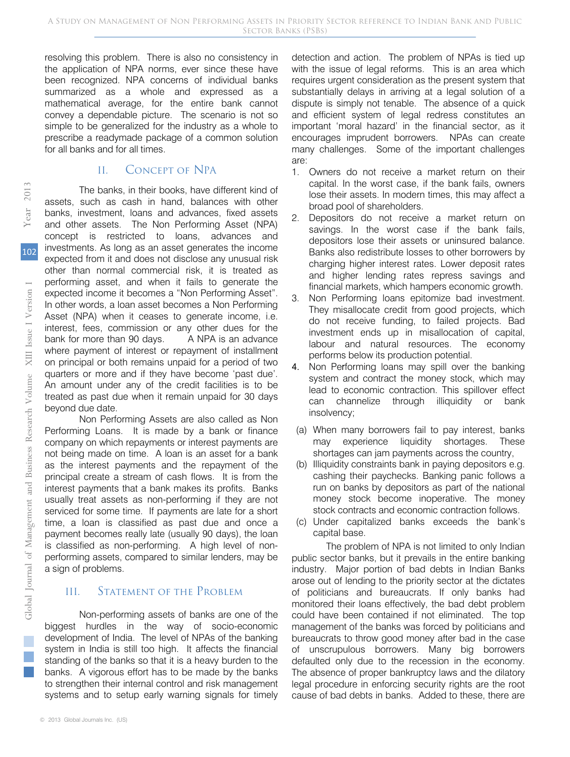resolving this problem. There is also no consistency in the application of NPA norms, ever since these have been recognized. NPA concerns of individual banks summarized as a whole and expressed as a mathematical average, for the entire bank cannot convey a dependable picture. The scenario is not so simple to be generalized for the industry as a whole to prescribe a readymade package of a common solution for all banks and for all times.

## II. CONCEPT OF NPA

The banks, in their books, have different kind of assets, such as cash in hand, balances with other banks, investment, loans and advances, fixed assets and other assets. The Non Performing Asset (NPA) concept is restricted to loans, advances and investments. As long as an asset generates the income expected from it and does not disclose any unusual risk other than normal commercial risk, it is treated as performing asset, and when it fails to generate the expected income it becomes a "Non Performing Asset". In other words, a loan asset becomes a Non Performing Asset (NPA) when it ceases to generate income, i.e. interest, fees, commission or any other dues for the bank for more than 90 days. A NPA is an advance where payment of interest or repayment of installment on principal or both remains unpaid for a period of two quarters or more and if they have become 'past due'. An amount under any of the credit facilities is to be treated as past due when it remain unpaid for 30 days beyond due date.

Non Performing Assets are also called as Non N Performing Loans. It is made by a bank or finance company on which repayments or interest payments are not being made on time. A loan is an asset for a bank as the interest payments and the repayment of the principal create a stream of cash flows. It is from the interest payments that a bank makes its profits. Banks usually treat assets as non-performing if they are not serviced for some time. If payments are late for a short time, a loan is classified as past due and once a payment becomes really late (usually 90 days), the loan is classified as non-performing. A high level of nonperforming assets, compared to similar lenders, may be a sign of problems. Example 10 and Kingler and Supplement of Independent of Management of intervals, a lost the payment of intervals of the payment of interval and and the payment where payment of the quantities of the Management of the Manag

## III. Statement of the Problem

Non-performing assets of banks are one of the biggest hurdles in the way of socio-economic development of India. The level of NPAs of the banking system in India is still too high. It affects the financial standing of the banks so that it is a heavy burden to the banks. A vigorous effort has to be made by the banks to strengthen their internal control and risk management systems and to setup early warning signals for timely

detection and action. The problem of NPAs is tied up with the issue of legal reforms. This is an area which requires urgent consideration as the present system that substantially delays in arriving at a legal solution of a dispute is simply not tenable. The absence of a quick and efficient system of legal redress constitutes an important 'moral hazard' in the financial sector, as it encourages imprudent borrowers. NPAs can create many challenges. Some of the important challenges are:

- 1. Owners do not receive a market return on their capital. In the worst case, if the bank fails, owners lose their assets. In modern times, this may affect a broad pool of shareholders.
- 2. Depositors do not receive a market return on savings. In the worst case if the bank fails, depositors lose their assets or uninsured balance. Banks also redistribute losses to other borrowers by charging higher interest rates. Lower deposit rates and higher lending rates repress savings and financial markets, which hampers economic growth.
- 3. Non Performing loans epitomize bad investment. They misallocate credit from good projects, which do not receive funding, to failed projects. Bad investment ends up in misallocation of capital, labour and natural resources. The economy performs below its production potential.
- 4. Non Performing loans may spill over the banking system and contract the money stock, which may lead to economic contraction. This spillover effect can channelize through illiquidity or bank insolvency;
- (a) When many borrowers fail to pay interest, banks may experience liquidity shortages. These shortages can jam payments across the country,
- (b) Illiquidity constraints bank in paying depositors e.g. cashing their paychecks. Banking panic follows a run on banks by depositors as part of the national money stock become inoperative. The money stock contracts and economic contraction follows.
- (c) Under capitalized banks exceeds the bank's capital base.

The problem of NPA is not limited to only Indian public sector banks, but it prevails in the entire banking industry. Major portion of bad debts in Indian Banks arose out of lending to the priority sector at the dictates of politicians and bureaucrats. If only banks had monitored their loans effectively, the bad debt problem could have been contained if not eliminated. The top management of the banks was forced by politicians and bureaucrats to throw good money after bad in the case of unscrupulous borrowers. Many big borrowers defaulted only due to the recession in the economy. The absence of proper bankruptcy laws and the dilatory legal procedure in enforcing security rights are the root cause of bad debts in banks. Added to these, there are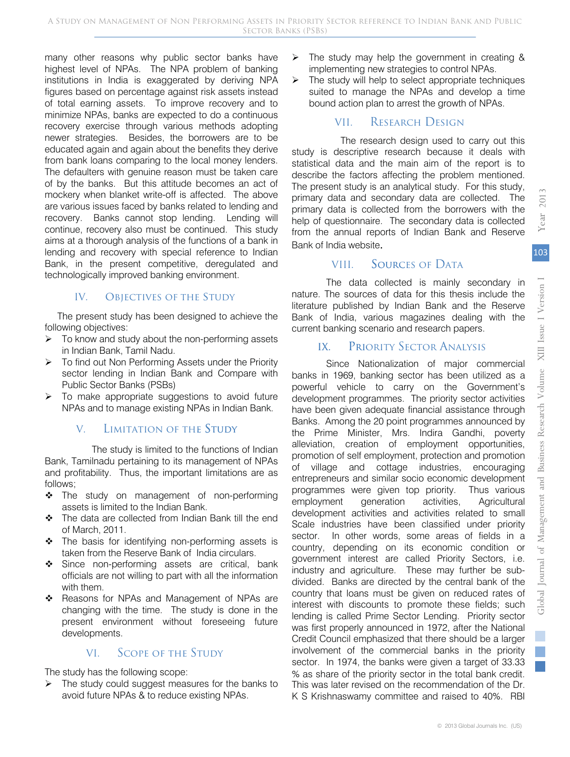$\mathbb{R}^n$ 

*Y2013 ear*

2013

many other reasons why public sector banks have highest level of NPAs. The NPA problem of banking institutions in India is exaggerated by deriving NPA figures based on percentage against risk assets instead of total earning assets. To improve recovery and to minimize NPAs, banks are expected to do a continuous recovery exercise through various methods adopting newer strategies. Besides, the borrowers are to be educated again and again about the benefits they derive from bank loans comparing to the local money lenders. The defaulters with genuine reason must be taken care of by the banks. But this attitude becomes an act of mockery when blanket write-off is affected. The above are various issues faced by banks related to lending and recovery. Banks cannot stop lending. Lending will continue, recovery also must be continued. This study aims at a thorough analysis of the functions of a bank in lending and recovery with special reference to Indian Bank, in the present competitive, deregulated and technologically improved banking environment.

#### IV. OBJECTIVES OF THE STUDY

 The present study has been designed to achieve the following objectives:

- $\triangleright$  To know and study about the non-performing assets in Indian Bank, Tamil Nadu.
- ¾ To find out Non Performing Assets under the Priority sector lending in Indian Bank and Compare with Public Sector Banks (PSBs)
- $\triangleright$  To make appropriate suggestions to avoid future NPAs and to manage existing NPAs in Indian Bank. k.

## V. LIMITATION OF THE STUDY

 The study is limited to the functions of Indian Bank, Tamilnadu pertaining to its management of NPAs and profitability. Thus, the important limitations are as follows;

- The study on management of non-performing assets is limited to the Indian Bank.
- ❖ The data are collected from Indian Bank till the end of March, 2011.
- \* The basis for identifying non-performing assets is taken from the Reserve Bank of India circulars.
- Since non-performing assets are critical, bank officials are not willing to part with all the information with them.
- \* Reasons for NPAs and Management of NPAs are changing with the time. The study is done in the present environment without foreseeing future developments.

## VI. Scope of the Study

The study has the following scope:

 $\triangleright$  The study could suggest measures for the banks to avoid future NPAs & to reduce existing NPAs.

- $\triangleright$  The study may help the government in creating & implementing new strategies to control NPAs.
- $\triangleright$  The study will help to select appropriate techniques suited to manage the NPAs and develop a time bound action plan to arrest the growth of NPAs.

## VII. Research Design

The research design used to carry out this study is descriptive research because it deals with statistical data and the main aim of the report is to describe the factors affecting the problem mentioned. The present study is an analytical study. For this study, primary data and secondary data are collected. The primary data is collected from the borrowers with the help of questionnaire. The secondary data is collected from the annual reports of Indian Bank and Reserve Bank of India website.

## VIII. SOURCES OF DATA

The data collected is mainly secondary in nature. The sources of data for this thesis include the literature published by Indian Bank and the Reserve Bank of India, various magazines dealing with the current banking scenario and research papers.

## IX. PRIORITY SECTOR ANALYSIS

Since Nationalization of major commercial banks in 1969, banking sector has been utilized as a powerful vehicle to carry on the Government's development programmes. The priority sector activities have been given adequate financial assistance through Banks. Among the 20 point programmes announced by the Prime Minister, Mrs. Indira Gandhi, poverty alleviation, creation of employment opportunities, promotion of self employment, protection and promotion of village and cottage industries, encouraging entrepreneurs and similar socio economic development programmes were given top priority. Thus various employment generation activities, Agricultural development activities and activities related to small Scale industries have been classified under priority sector. In other words, some areas of fields in a country, depending on its economic condition or government interest are called Priority Sectors, i.e. industry and agriculture. These may further be subdivided. Banks are directed by the central bank of the country that loans must be given on reduced rates of interest with discounts to promote these fields; such lending is called Prime Sector Lending. Priority sector was first properly announced in 1972, after the National Credit Council emphasized that there should be a larger involvement of the commercial banks in the priority sector. In 1974, the banks were given a target of 33.33 % as share of the priority sector in the total bank credit. This was later revised on the recommendation of the Dr. K S Krishnaswamy committee and raised to 40%. RBI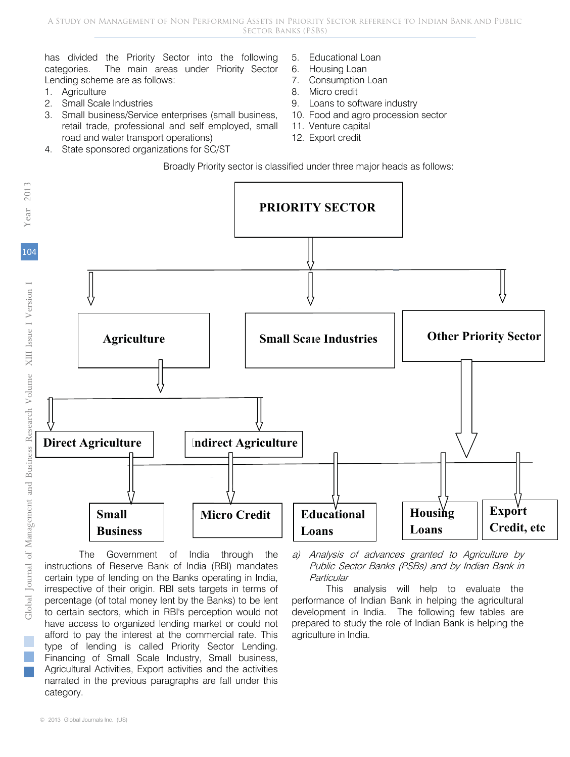has divided the Priority Sector into the following categories. The main areas under Priority Sector Lending scheme are as follows:

- 1. Agriculture
- 2. Small Scale Industries
- 3. Small business/Service enterprises (small business, retail trade, professional and self employed, small road and water transport operations)
- 4. State sponsored organizations for SC/ST
- 5. Educational Loan
- 6. Housing Loan
- 7. Consumption Loan
- 8. Micro credit
- 9. Loans to software industry
- 10. Food and agro procession sector
- 11. Venture capital
- 12. Export credit

Broadly Priority sector is classified under three major heads as follows:



The Government of India through the instructions of Reserve Bank of India (RBI) mandates certain type of lending on the Banks operating in India, irrespective of their origin. RBI sets targets in terms of percentage (of total money lent by the Banks) to be lent to certain sectors, which in RBI's perception would not have access to organized lending market or could not afford to pay the interest at the commercial rate. This type of lending is called Priority Sector Lending. Financing of Small Scale Industry, Small business, Agricultural Activities, Export activities and the activities narrated in the previous paragraphs are fall under this category.

a) Analysis of advances granted to Agriculture by Public Sector Banks (PSBs) and by Indian Bank in **Particular** 

This analysis will help to evaluate the performance of Indian Bank in helping the agricultural development in India. The following few tables are prepared to study the role of Indian Bank is helping the agriculture in India.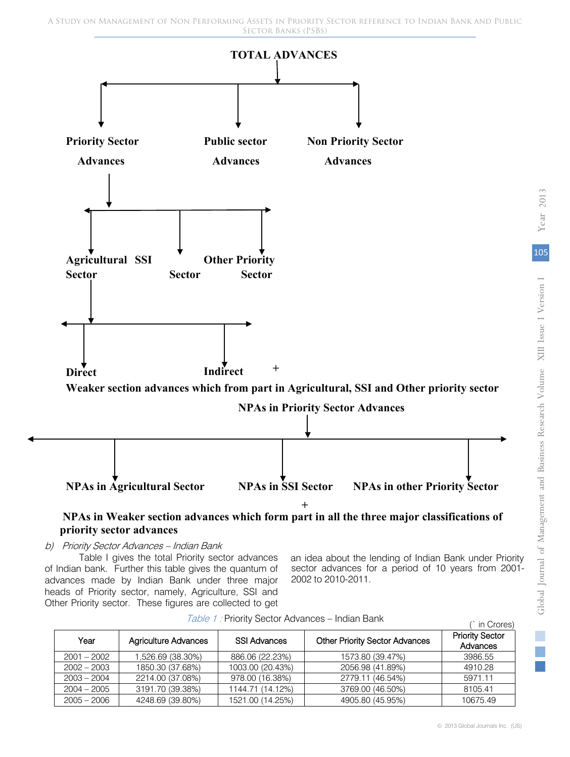

## **NPAs in Weaker section advances which form part in all the three major classifications of** priority sector advances

#### b) Priority Sector Advances – Indian Bank

Table I gives the total Priority sector advances of Indian bank. Further this table gives the quantum of advances made by Indian Bank under three major heads of Priority sector, namely, Agriculture, SSI and Other Priority sector. These figures are collected to get

an idea about the lending of Indian Bank under Priority sector advances for a period of 10 years from 2001- 2002 to 2010-2011.

| Year          | <b>Agriculture Advances</b> | <b>SSI Advances</b> | <b>Other Priority Sector Advances</b> | <b>Priority Sector</b><br>Advances |
|---------------|-----------------------------|---------------------|---------------------------------------|------------------------------------|
| $2001 - 2002$ | 1,526.69 (38.30%)           | 886.06 (22.23%)     | 1573.80 (39.47%)                      | 3986.55                            |
| $2002 - 2003$ | 1850.30 (37.68%)            | 1003.00 (20.43%)    | 2056.98 (41.89%)                      | 4910.28                            |
| $2003 - 2004$ | 2214.00 (37.08%)            | 978.00 (16.38%)     | 2779.11 (46.54%)                      | 5971.11                            |
| $2004 - 2005$ | 3191.70 (39.38%)            | 1144.71 (14.12%)    | 3769.00 (46.50%)                      | 8105.41                            |
| $2005 - 2006$ | 4248.69 (39.80%)            | 1521.00 (14.25%)    | 4905.80 (45.95%)                      | 10675.49                           |

Table 1 : Priority Sector Advances – Indian Bank (` in Crores)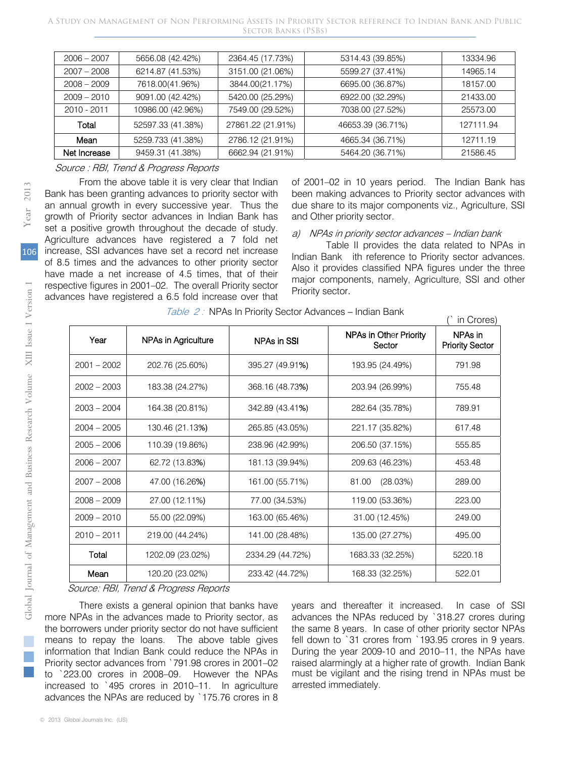| $2006 - 2007$ | 5656.08 (42.42%)  | 2364.45 (17.73%)  | 5314.43 (39.85%)  | 13334.96  |
|---------------|-------------------|-------------------|-------------------|-----------|
| $2007 - 2008$ | 6214.87 (41.53%)  | 3151.00 (21.06%)  | 5599.27 (37.41%)  | 14965.14  |
| $2008 - 2009$ | 7618.00(41.96%)   | 3844.00(21.17%)   | 6695.00 (36.87%)  | 18157.00  |
| $2009 - 2010$ | 9091.00 (42.42%)  | 5420.00 (25.29%)  | 6922.00 (32.29%)  | 21433.00  |
| 2010 - 2011   | 10986.00 (42.96%) | 7549.00 (29.52%)  | 7038.00 (27.52%)  | 25573.00  |
| Total         | 52597.33 (41.38%) | 27861.22 (21.91%) | 46653.39 (36.71%) | 127111.94 |
| Mean          | 5259.733 (41.38%) | 2786.12 (21.91%)  | 4665.34 (36.71%)  | 12711.19  |
| Net Increase  | 9459.31 (41.38%)  | 6662.94 (21.91%)  | 5464.20 (36.71%)  | 21586.45  |

#### Source : RBI, Trend & Progress Reports

From the above table it is very clear that Indian Bank has been granting advances to priority sector with an annual growth in every successive year. Thus the growth of Priority sector advances in Indian Bank has set a positive growth throughout the decade of study. Agriculture advances have registered a 7 fold net increase, SSI advances have set a record net increase of 8.5 times and the advances to other priority sector have made a net increase of 4.5 times, that of their respective figures in 2001–02. The overall Priority sector advances have registered a 6.5 fold increase over that of 2001–02 in 10 years period. The Indian Bank has been making advances to Priority sector advances with due share to its major components viz., Agriculture, SSI and Other priority sector.

#### a) NPAs in priority sector advances – Indian bank

Table II provides the data related to NPAs in Indian Bank ith reference to Priority sector advances. Also it provides classified NPA figures under the three major components, namely, Agriculture, SSI and other Priority sector.

| Year                      | NPAs in Agriculture                                                                                                                                                                                                                                                                                                                                                                                           | NPAs in SSI      | NPAs in Other Priority<br>Sector                                                                                                                                                                                                                                                                                                                              | NPAs in<br><b>Priority Sector</b> |
|---------------------------|---------------------------------------------------------------------------------------------------------------------------------------------------------------------------------------------------------------------------------------------------------------------------------------------------------------------------------------------------------------------------------------------------------------|------------------|---------------------------------------------------------------------------------------------------------------------------------------------------------------------------------------------------------------------------------------------------------------------------------------------------------------------------------------------------------------|-----------------------------------|
| $2001 - 2002$             | 202.76 (25.60%)                                                                                                                                                                                                                                                                                                                                                                                               | 395.27 (49.91%)  | 193.95 (24.49%)                                                                                                                                                                                                                                                                                                                                               | 791.98                            |
| $2002 - 2003$             | 183.38 (24.27%)                                                                                                                                                                                                                                                                                                                                                                                               | 368.16 (48.73%)  | 203.94 (26.99%)                                                                                                                                                                                                                                                                                                                                               | 755.48                            |
| $2003 - 2004$             | 164.38 (20.81%)                                                                                                                                                                                                                                                                                                                                                                                               | 342.89 (43.41%)  | 282.64 (35.78%)                                                                                                                                                                                                                                                                                                                                               | 789.91                            |
| $2004 - 2005$             | 130.46 (21.13%)                                                                                                                                                                                                                                                                                                                                                                                               | 265.85 (43.05%)  | 221.17 (35.82%)                                                                                                                                                                                                                                                                                                                                               | 617.48                            |
| $2005 - 2006$             | 110.39 (19.86%)                                                                                                                                                                                                                                                                                                                                                                                               | 238.96 (42.99%)  | 206.50 (37.15%)                                                                                                                                                                                                                                                                                                                                               | 555.85                            |
| $2006 - 2007$             | 62.72 (13.83%)                                                                                                                                                                                                                                                                                                                                                                                                | 181.13 (39.94%)  | 209.63 (46.23%)                                                                                                                                                                                                                                                                                                                                               | 453.48                            |
| $2007 - 2008$             | 47.00 (16.26%)                                                                                                                                                                                                                                                                                                                                                                                                | 161.00 (55.71%)  | 81.00<br>(28.03%)                                                                                                                                                                                                                                                                                                                                             | 289.00                            |
| $2008 - 2009$             | 27.00 (12.11%)                                                                                                                                                                                                                                                                                                                                                                                                | 77.00 (34.53%)   | 119.00 (53.36%)                                                                                                                                                                                                                                                                                                                                               | 223.00                            |
| $2009 - 2010$             | 55.00 (22.09%)                                                                                                                                                                                                                                                                                                                                                                                                | 163.00 (65.46%)  | 31.00 (12.45%)                                                                                                                                                                                                                                                                                                                                                | 249.00                            |
| $2010 - 2011$             | 219.00 (44.24%)                                                                                                                                                                                                                                                                                                                                                                                               | 141.00 (28.48%)  | 135.00 (27.27%)                                                                                                                                                                                                                                                                                                                                               | 495.00                            |
| Total                     | 1202.09 (23.02%)                                                                                                                                                                                                                                                                                                                                                                                              | 2334.29 (44.72%) | 1683.33 (32.25%)                                                                                                                                                                                                                                                                                                                                              | 5220.18                           |
| Mean                      | 120.20 (23.02%)                                                                                                                                                                                                                                                                                                                                                                                               | 233.42 (44.72%)  | 168.33 (32.25%)                                                                                                                                                                                                                                                                                                                                               | 522.01                            |
| means to repay the loans. | Source: RBI, Trend & Progress Reports<br>There exists a general opinion that banks have<br>more NPAs in the advances made to Priority sector, as<br>the borrowers under priority sector do not have sufficient<br>The above table gives<br>information that Indian Bank could reduce the NPAs in<br>Priority sector advances from `791.98 crores in 2001-02<br>to `223.00 crores in 2008-09. However the NPAs |                  | years and thereafter it increased.<br>advances the NPAs reduced by `318.27 crores of<br>the same 8 years. In case of other priority sector<br>fell down to `31 crores from `193.95 crores in 9 v<br>During the year 2009-10 and 2010-11, the NPAs<br>raised alarmingly at a higher rate of growth. Indian<br>must be vigilant and the rising trend in NPAs mu | In case o                         |

Table 2 : NPAs In Priority Sector Advances – Indian Bank (` in Crores) –

years and thereafter it increased. In case of SSI advances the NPAs reduced by `318.27 crores during the same 8 years. In case of other priority sector NPAs fell down to `31 crores from `193.95 crores in 9 years. During the year 2009-10 and 2010–11, the NPAs have raised alarmingly at a higher rate of growth. Indian Bank must be vigilant and the rising trend in NPAs must be arrested immediately.

106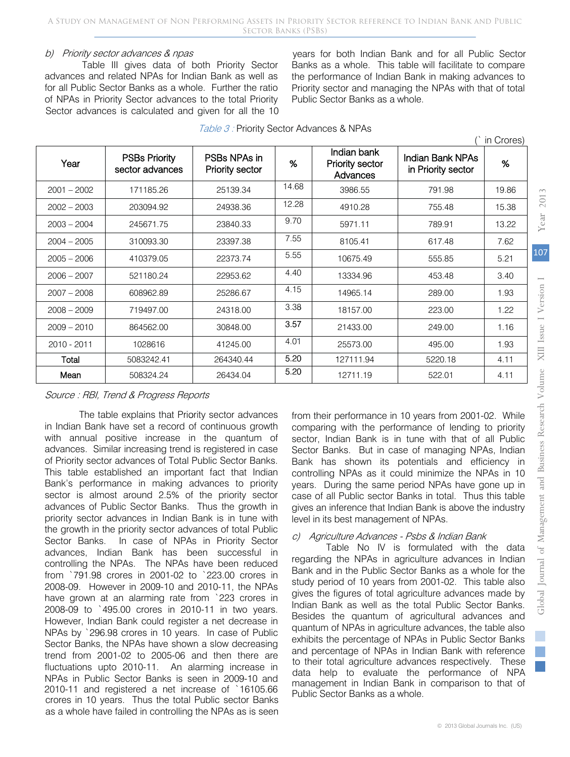#### b) Priority sector advances & npas

Table III gives data of both Priority Sector advances and related NPAs for Indian Bank as well as for all Public Sector Banks as a whole. Further the ratio of NPAs in Priority Sector advances to the total Priority Sector advances is calculated and given for all the 10

years for both Indian Bank and for all Public Sector Banks as a whole. This table will facilitate to compare the performance of Indian Bank in making advances to Priority sector and managing the NPAs with that of total Public Sector Banks as a whole.

|               |                                         |                                 |       |                                            |                                        | in Crores) |
|---------------|-----------------------------------------|---------------------------------|-------|--------------------------------------------|----------------------------------------|------------|
| Year          | <b>PSBs Priority</b><br>sector advances | PSBs NPAs in<br>Priority sector | %     | Indian bank<br>Priority sector<br>Advances | Indian Bank NPAs<br>in Priority sector | %          |
| $2001 - 2002$ | 171185.26                               | 25139.34                        | 14.68 | 3986.55                                    | 791.98                                 | 19.86      |
| $2002 - 2003$ | 203094.92                               | 24938.36                        | 12.28 | 4910.28                                    | 755.48                                 | 15.38      |
| $2003 - 2004$ | 245671.75                               | 23840.33                        | 9.70  | 5971.11                                    | 789.91                                 | 13.22      |
| $2004 - 2005$ | 310093.30                               | 23397.38                        | 7.55  | 8105.41                                    | 617.48                                 | 7.62       |
| $2005 - 2006$ | 410379.05                               | 22373.74                        | 5.55  | 10675.49                                   | 555.85                                 | 5.21       |
| $2006 - 2007$ | 521180.24                               | 22953.62                        | 4.40  | 13334.96                                   | 453.48                                 | 3.40       |
| $2007 - 2008$ | 608962.89                               | 25286.67                        | 4.15  | 14965.14                                   | 289.00                                 | 1.93       |
| $2008 - 2009$ | 719497.00                               | 24318.00                        | 3.38  | 18157.00                                   | 223.00                                 | 1.22       |
| $2009 - 2010$ | 864562.00                               | 30848.00                        | 3.57  | 21433.00                                   | 249.00                                 | 1.16       |
| 2010 - 2011   | 1028616                                 | 41245.00                        | 4.01  | 25573.00                                   | 495.00                                 | 1.93       |
| Total         | 5083242.41                              | 264340.44                       | 5.20  | 127111.94                                  | 5220.18                                | 4.11       |
| Mean          | 508324.24                               | 26434.04                        | 5.20  | 12711.19                                   | 522.01                                 | 4.11       |

Table 3: Priority Sector Advances & NPAs

## Source : RBI, Trend & Progress Reports

The table explains that Priority sector advances in Indian Bank have set a record of continuous growth with annual positive increase in the quantum of advances. Similar increasing trend is registered in case of Priority sector advances of Total Public Sector Banks. This table established an important fact that Indian Bank's performance in making advances to priority sector is almost around 2.5% of the priority sector advances of Public Sector Banks. Thus the growth in priority sector advances in Indian Bank is in tune with the growth in the priority sector advances of total Public Sector Banks. In case of NPAs in Priority Sector advances, Indian Bank has been successful in controlling the NPAs. The NPAs have been reduced from `791.98 crores in 2001-02 to `223.00 crores in 2008-09. However in 2009-10 and 2010-11, the NPAs have grown at an alarming rate from `223 crores in 2008-09 to `495.00 crores in 2010-11 in two years. However, Indian Bank could register a net decrease in NPAs by `296.98 crores in 10 years. In case of Public Sector Banks, the NPAs have shown a slow decreasing trend from 2001-02 to 2005-06 and then there are fluctuations upto 2010-11. An alarming increase in NPAs in Public Sector Banks is seen in 2009-10 and 2010-11 and registered a net increase of `16105.66 crores in 10 years. Thus the total Public sector Banks as a whole have failed in controlling the NPAs as is seen

from their performance in 10 years from 2001-02. While comparing with the performance of lending to priority sector, Indian Bank is in tune with that of all Public Sector Banks. But in case of managing NPAs, Indian Bank has shown its potentials and efficiency in controlling NPAs as it could minimize the NPAs in 10 years. During the same period NPAs have gone up in case of all Public sector Banks in total. Thus this table gives an inference that Indian Bank is above the industry level in its best management of NPAs.

#### c) Agriculture Advances - Psbs & Indian Bank

Table No IV is formulated with the data regarding the NPAs in agriculture advances in Indian Bank and in the Public Sector Banks as a whole for the study period of 10 years from 2001-02. This table also gives the figures of total agriculture advances made by Indian Bank as well as the total Public Sector Banks. Besides the quantum of agricultural advances and quantum of NPAs in agriculture advances, the table also exhibits the percentage of NPAs in Public Sector Banks and percentage of NPAs in Indian Bank with reference to their total agriculture advances respectively. These data help to evaluate the performance of NPA management in Indian Bank in comparison to that of Public Sector Banks as a whole.

 $\mathbb{R}^n$ 

Year 2013 *2013 ear*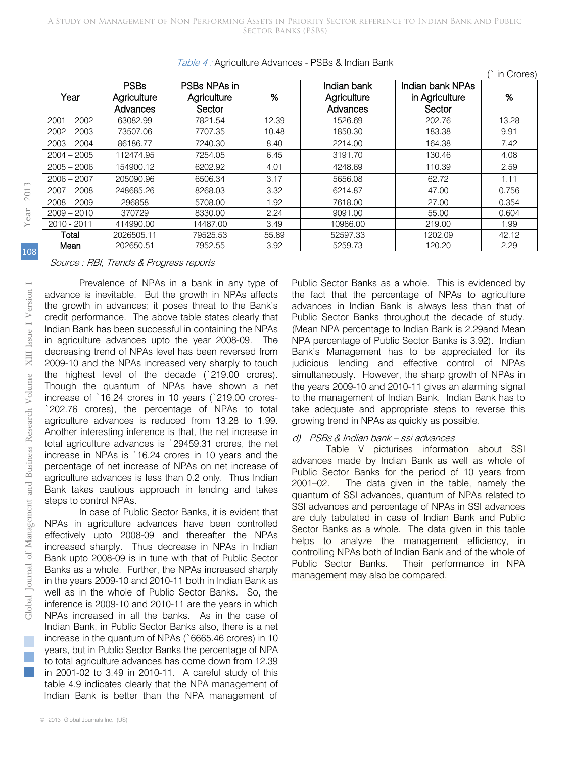| Year          | <b>PSBs</b><br>Agriculture | PSBs NPAs in<br>Agriculture | %     | Indian bank<br>Agriculture | Indian bank NPAs<br>in Agriculture | %     |
|---------------|----------------------------|-----------------------------|-------|----------------------------|------------------------------------|-------|
|               | Advances                   | Sector                      |       | Advances                   | Sector                             |       |
| $2001 - 2002$ | 63082.99                   | 7821.54                     | 12.39 | 1526.69                    | 202.76                             | 13.28 |
| $2002 - 2003$ | 73507.06                   | 7707.35                     | 10.48 | 1850.30                    | 183.38                             | 9.91  |
| $2003 - 2004$ | 86186.77                   | 7240.30                     | 8.40  | 2214.00                    | 164.38                             | 7.42  |
| $2004 - 2005$ | 112474.95                  | 7254.05                     | 6.45  | 3191.70                    | 130.46                             | 4.08  |
| $2005 - 2006$ | 154900.12                  | 6202.92                     | 4.01  | 4248.69                    | 110.39                             | 2.59  |
| $2006 - 2007$ | 205090.96                  | 6506.34                     | 3.17  | 5656.08                    | 62.72                              | 1.11  |
| $2007 - 2008$ | 248685.26                  | 8268.03                     | 3.32  | 6214.87                    | 47.00                              | 0.756 |
| $2008 - 2009$ | 296858                     | 5708.00                     | 1.92  | 7618.00                    | 27.00                              | 0.354 |
| $2009 - 2010$ | 370729                     | 8330.00                     | 2.24  | 9091.00                    | 55.00                              | 0.604 |
| 2010 - 2011   | 414990.00                  | 14487.00                    | 3.49  | 10986.00                   | 219.00                             | 1.99  |
| Total         | 2026505.11                 | 79525.53                    | 55.89 | 52597.33                   | 1202.09                            | 42.12 |
| Mean          | 202650.51                  | 7952.55                     | 3.92  | 5259.73                    | 120.20                             | 2.29  |

Table 4 : Agriculture Advances - PSBs & Indian Bank

108

#### Source : RBI, Trends & Progress reports

Prevalence of NPAs in a bank in any type of advance is inevitable. But the growth in NPAs affects the growth in advances; it poses threat to the Bank's credit performance. The above table states clearly that Indian Bank has been successful in containing the NPAs in agriculture advances upto the year 2008-09. The decreasing trend of NPAs level has been reversed from 2009-10 and the NPAs increased very sharply to touch the highest level of the decade (`219.00 crores). Though the quantum of NPAs have shown a net increase of `16.24 crores in 10 years (`219.00 crores- -`202.76 crores), the percentage of NPAs to total agriculture advances is reduced from 13.28 to 1.99. Another interesting inference is that, the net increase in total agriculture advances is `29459.31 crores, the net increase in NPAs is `16.24 crores in 10 years and the percentage of net increase of NPAs on net increase of agriculture advances is less than 0.2 only. Thus Indian Bank takes cautious approach in lending and takes steps to control NPAs. Frevalence<br>
advance is inevitab<br>
the growth in adva<br>
credit performance.<br>
Indian Bank has been<br>
in agriculture advance<br>
decreasing trend of<br>
2009-10 and the NF<br>
the highest level<br>
Though the quant<br>
increase of `16.24<br>
<sup>2</sup>2

In case of Public Sector Banks, it is evident that NPAs in agriculture advances have been controlled effectively upto 2008-09 and thereafter the NPAs increased sharply. Thus decrease in NPAs in Indian Bank upto 2008-09 is in tune with that of Public Sector Banks as a whole. Further, the NPAs increased sharply in the years 2009-10 and 2010-11 both in Indian Bank as well as in the whole of Public Sector Banks. So, the inference is 2009-10 and 2010-11 are the years in which NPAs increased in all the banks. As in the case of Indian Bank, in Public Sector Banks also, there is a net increase in the quantum of NPAs (`6665.46 crores) in 10 years, but in Public Sector Banks the percentage of NPA to total agriculture advances has come down from 12.39 in 2001-02 to 3.49 in 2010-11. A careful study of this table 4.9 indicates clearly that the NPA management of Indian Bank is better than the NPA management of

Public Sector Banks as a whole. This is evidenced by the fact that the percentage of NPAs to agriculture advances in Indian Bank is always less than that of Public Sector Banks throughout the decade of study. (Mean NPA percentage to Indian Bank is 2.29and Mean NPA percentage of Public Sector Banks is 3.92). Indian Bank's Management has to be appreciated for its judicious lending and effective control of NPAs simultaneously. However, the sharp growth of NPAs in the years 2009-10 and 2010-11 gives an alarming signal to the management of Indian Bank. Indian Bank has to take adequate and appropriate steps to reverse this growing trend in NPAs as quickly as possible.

(` in Crores)

#### d) PSBS & Indian bank – ssi advances

Table V picturises information about SSI advances made by Indian Bank as well as whole of Public Sector Banks for the period of 10 years from 2001–02. The data given in the table, namely the quantum of SSI advances, quantum of NPAs related to SSI advances and percentage of NPAs in SSI advances are duly tabulated in case of Indian Bank and Public Sector Banks as a whole. The data given in this table helps to analyze the management efficiency, in controlling NPAs both of Indian Bank and of the whole of Public Sector Banks. Their performance in NPA management may also be compared.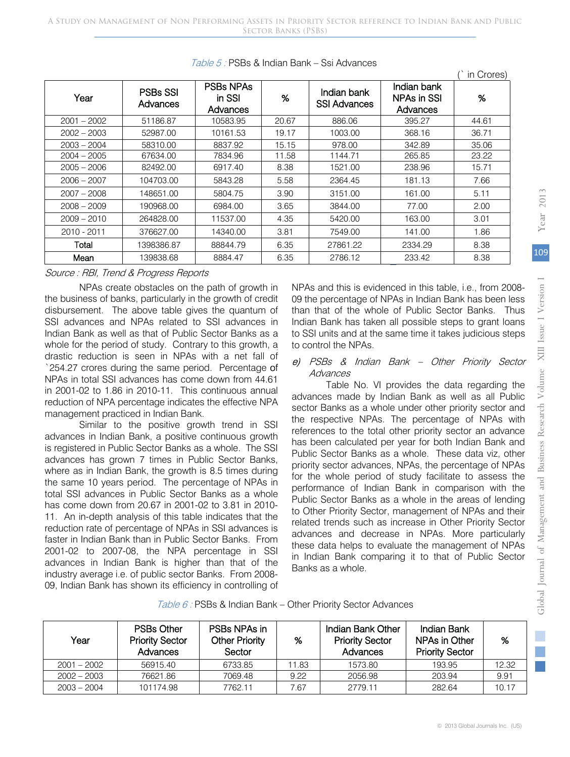| Year          | <b>PSBs SSI</b><br>Advances | <b>PSBs NPAs</b><br>in SSI<br>Advances | $\%$  | Indian bank<br><b>SSI Advances</b> | Indian bank<br>NPAs in SSI<br>Advances | %     |
|---------------|-----------------------------|----------------------------------------|-------|------------------------------------|----------------------------------------|-------|
| $2001 - 2002$ | 51186.87                    | 10583.95                               | 20.67 | 886.06                             | 395.27                                 | 44.61 |
| $2002 - 2003$ | 52987.00                    | 10161.53                               | 19.17 | 1003.00                            | 368.16                                 | 36.71 |
| $2003 - 2004$ | 58310.00                    | 8837.92                                | 15.15 | 978.00                             | 342.89                                 | 35.06 |
| 2004 - 2005   | 67634.00                    | 7834.96                                | 11.58 | 1144.71                            | 265.85                                 | 23.22 |
| $2005 - 2006$ | 82492.00                    | 6917.40                                | 8.38  | 1521.00                            | 238.96                                 | 15.71 |
| $2006 - 2007$ | 104703.00                   | 5843.28                                | 5.58  | 2364.45                            | 181.13                                 | 7.66  |
| $2007 - 2008$ | 148651.00                   | 5804.75                                | 3.90  | 3151.00                            | 161.00                                 | 5.11  |
| $2008 - 2009$ | 190968.00                   | 6984.00                                | 3.65  | 3844.00                            | 77.00                                  | 2.00  |
| $2009 - 2010$ | 264828.00                   | 11537.00                               | 4.35  | 5420.00                            | 163.00                                 | 3.01  |
| 2010 - 2011   | 376627.00                   | 14340.00                               | 3.81  | 7549.00                            | 141.00                                 | 1.86  |
| Total         | 1398386.87                  | 88844.79                               | 6.35  | 27861.22                           | 2334.29                                | 8.38  |
| Mean          | 139838.68                   | 8884.47                                | 6.35  | 2786.12                            | 233.42                                 | 8.38  |

#### Table 5 : PSBs & Indian Bank – Ssi Advances

#### Source : RBI, Trend & Progress Reports

NPAs create obstacles on the path of growth in the business of banks, particularly in the growth of credit disbursement. The above table gives the quantum of SSI advances and NPAs related to SSI advances in Indian Bank as well as that of Public Sector Banks as a whole for the period of study. Contrary to this growth, a drastic reduction is seen in NPAs with a net fall of `254.27 crores during the same period. Percentage of NPAs in total SSI advances has come down from 44.61 in 2001-02 to 1.86 in 2010-11. This continuous annual reduction of NPA percentage indicates the effective NPA management practiced in Indian Bank.

Similar to the positive growth trend in SSI advances in Indian Bank, a positive continuous growth is registered in Public Sector Banks as a whole. The SSI advances has grown 7 times in Public Sector Banks, where as in Indian Bank, the growth is 8.5 times during the same 10 years period. The percentage of NPAs in total SSI advances in Public Sector Banks as a whole has come down from 20.67 in 2001-02 to 3.81 in 2010- 11. An in-depth analysis of this table indicates that the reduction rate of percentage of NPAs in SSI advances is faster in Indian Bank than in Public Sector Banks. From 2001-02 to 2007-08, the NPA percentage in SSI advances in Indian Bank is higher than that of the industry average i.e. of public sector Banks. From 2008- 09, Indian Bank has shown its efficiency in controlling of NPAs and this is evidenced in this table, i.e., from 2008- 09 the percentage of NPAs in Indian Bank has been less than that of the whole of Public Sector Banks. Thus Indian Bank has taken all possible steps to grant loans to SSI units and at the same time it takes judicious steps to control the NPAs. 2<br>s evidenced in<br>ge of NPAs in<br>e whole of Pu

#### $\begin{array}{cc} \circ & e \\ \circ & \circ \end{array}$  PSBs & Indian Bank – Other Priority Sector **Advances**

Table No. VI provides the data regarding the advances made by Indian Bank as well as all Public sector Banks as a whole under other priority sector and the respective NPAs. The percentage of NPAs with references to the total other priority sector an advance has been calculated per year for both Indian Bank and Public Sector Banks as a whole. These data viz, other priority sector advances, NPAs, the percentage of NPAs for the whole period of study facilitate to assess the performance of Indian Bank in comparison with the Public Sector Banks as a whole in the areas of lending to Other Priority Sector, management of NPAs and their related trends such as increase in Other Priority Sector advances and decrease in NPAs. More particularly these data helps to evaluate the management of NPAs in Indian Bank comparing it to that of Public Sector Banks as a whole.

|  | Table 6 : PSBs & Indian Bank - Other Priority Sector Advances |
|--|---------------------------------------------------------------|
|--|---------------------------------------------------------------|

| Year          | <b>PSBs Other</b><br><b>Priority Sector</b><br>Advances | PSBs NPAs in<br><b>Other Priority</b><br>Sector | %     | Indian Bank Other<br><b>Priority Sector</b><br>Advances | Indian Bank<br>NPAs in Other<br><b>Priority Sector</b> | %     |
|---------------|---------------------------------------------------------|-------------------------------------------------|-------|---------------------------------------------------------|--------------------------------------------------------|-------|
| $2001 - 2002$ | 56915.40                                                | 6733.85                                         | 11.83 | 1573.80                                                 | 193.95                                                 | 12.32 |
| $2002 - 2003$ | 76621.86                                                | 7069.48                                         | 9.22  | 2056.98                                                 | 203.94                                                 | 9.91  |
| $2003 - 2004$ | 101174.98                                               | 7762.11                                         | 7.67  | 2779.11                                                 | 282.64                                                 | 10.17 |

(` in Crores)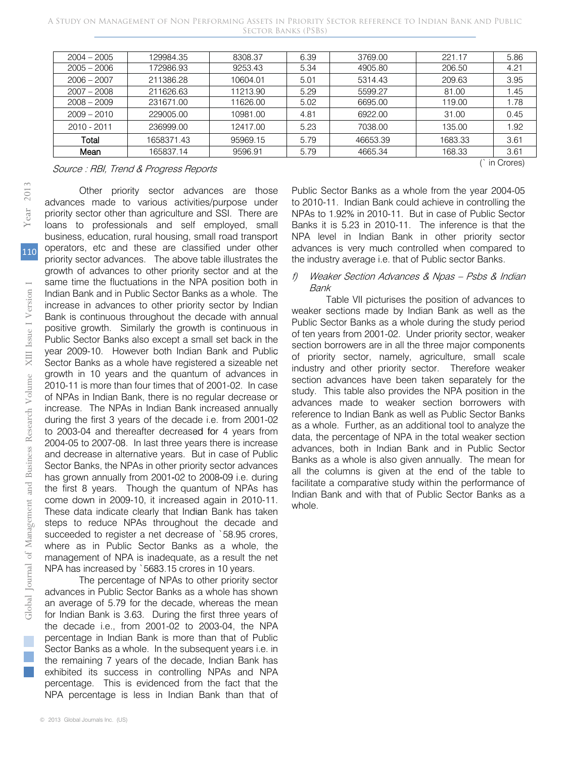| Mean          | 165837.14  | 9596.91  | 5.79 | 4665.34  | 168.33  | 3.61 |
|---------------|------------|----------|------|----------|---------|------|
| Total         | 1658371.43 | 95969.15 | 5.79 | 46653.39 | 1683.33 | 3.61 |
| 2010 - 2011   | 236999.00  | 12417.00 | 5.23 | 7038.00  | 135.00  | 1.92 |
| $2009 - 2010$ | 229005.00  | 10981.00 | 4.81 | 6922.00  | 31.00   | 0.45 |
| $2008 - 2009$ | 231671.00  | 11626.00 | 5.02 | 6695.00  | 119.00  | 1.78 |
| $2007 - 2008$ | 211626.63  | 11213.90 | 5.29 | 5599.27  | 81.00   | 1.45 |
| $2006 - 2007$ | 211386.28  | 10604.01 | 5.01 | 5314.43  | 209.63  | 3.95 |
| $2005 - 2006$ | 172986.93  | 9253.43  | 5.34 | 4905.80  | 206.50  | 4.21 |
| $2004 - 2005$ | 129984.35  | 8308.37  | 6.39 | 3769.00  | 221.17  | 5.86 |

Source : RBI, Trend & Progress Reports (in Crores)

Other priority sector advances are those advances made to various activities/purpose under priority sector other than agriculture and SSI. There are loans to professionals and self employed, small business, education, rural housing, small road transport operators, etc and these are classified under other priority sector advances. The above table illustrates the growth of advances to other priority sector and at the same time the fluctuations in the NPA position both in Indian Bank and in Public Sector Banks as a whole. The increase in advances to other priority sector by Indian Bank is continuous throughout the decade with annual positive growth. Similarly the growth is continuous in Public Sector Banks also except a small set back in the year 2009-10. However both Indian Bank and Public Sector Banks as a whole have registered a sizeable net growth in 10 years and the quantum of advances in 2010-11 is more than four times that of 2001-02. In case of NPAs in Indian Bank, there is no regular decrease or increase. The NPAs in Indian Bank increased annually during the first 3 years of the decade i.e. from 2001-02 to 2003-04 and thereafter decreased for 4 years from 2004-05 to 2007-08. In last three years there is increase and decrease in alternative years. But in case of Public Sector Banks, the NPAs in other priority sector advances has grown annually from 2001-02 to 2008-09 i.e. during the first 8 years. Though the quantum of NPAs has come down in 2009-10, it increased again in 2010-11. These data indicate clearly that Indian Bank has taken steps to reduce NPAs throughout the decade and succeeded to register a net decrease of `58.95 crores, where as in Public Sector Banks as a whole, the management of NPA is inadequate, as a result the net NPA has increased by `5683.15 crores in 10 years. Same time the first and and in Fincrease in advances<br>
Dank is continuous<br>
positive growth. Si<br>
Public Sector Banks<br>
year 2009-10. How<br>
Sector Banks as a v<br>
growth in 10 years<br>
2010-11 is more than B<br>
increase. The NPA<br>
dur

The percentage of NPAs to other priority sector advances in Public Sector Banks as a whole has shown an average of 5.79 for the decade, whereas the mean for Indian Bank is 3.63. During the first three years of the decade i.e., from 2001-02 to 2003-04, the NPA percentage in Indian Bank is more than that of Public Sector Banks as a whole. In the subsequent years i.e. in the remaining 7 years of the decade, Indian Bank has exhibited its success in controlling NPAs and NPA percentage. This is evidenced from the fact that the NPA percentage is less in Indian Bank than that of

Public Sector Banks as a whole from the year 2004-05 to 2010-11. Indian Bank could achieve in controlling the NPAs to 1.92% in 2010-11. But in case of Public Sector Banks it is 5.23 in 2010-11. The inference is that the NPA level in Indian Bank in other priority sector advances is very much controlled when compared to the industry average i.e. that of Public sector Banks. a

#### f) Weaker Section Advances & Npas – Psbs & Indian Bank

Table VII picturises the position of advances to weaker sections made by Indian Bank as well as the Public Sector Banks as a whole during the study period of ten years from 2001-02. Under priority sector, weaker section borrowers are in all the three major components of priority sector, namely, agriculture, small scale industry and other priority sector. Therefore weaker section advances have been taken separately for the study. This table also provides the NPA position in the advances made to weaker section borrowers with reference to Indian Bank as well as Public Sector Banks as a whole. Further, as an additional tool to analyze the adata, the percentage of NPA in the total weaker section advances, both in Indian Bank and in Public Sector Banks as a whole is also given annually. The mean for all the columns is given at the end of the table to facilitate a comparative study within the performance of Indian Bank and with that of Public Sector Banks as a whole.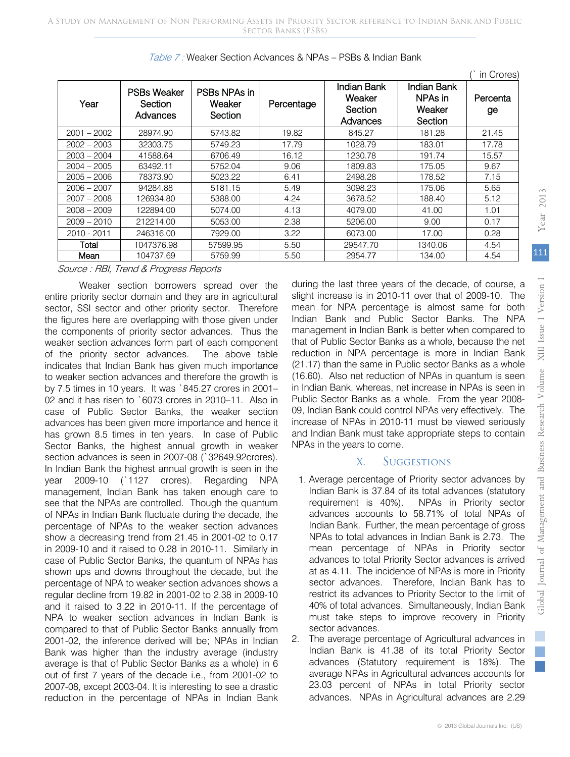| Year          | <b>PSBs Weaker</b><br>Section<br>Advances | PSBs NPAs in<br>Weaker<br>Section | Percentage | Indian Bank<br>Weaker<br>Section<br>Advances | Indian Bank<br>NPAs in<br>Weaker<br>Section | Percenta<br>ge |
|---------------|-------------------------------------------|-----------------------------------|------------|----------------------------------------------|---------------------------------------------|----------------|
| $2001 - 2002$ | 28974.90                                  | 5743.82                           | 19.82      | 845.27                                       | 181.28                                      | 21.45          |
| $2002 - 2003$ | 32303.75                                  | 5749.23                           | 17.79      | 1028.79                                      | 183.01                                      | 17.78          |
| 2003 - 2004   | 41588.64                                  | 6706.49                           | 16.12      | 1230.78                                      | 191.74                                      | 15.57          |
| 2004 – 2005   | 63492.11                                  | 5752.04                           | 9.06       | 1809.83                                      | 175.05                                      | 9.67           |
| $2005 - 2006$ | 78373.90                                  | 5023.22                           | 6.41       | 2498.28                                      | 178.52                                      | 7.15           |
| $2006 - 2007$ | 94284.88                                  | 5181.15                           | 5.49       | 3098.23                                      | 175.06                                      | 5.65           |
| 2007 - 2008   | 126934.80                                 | 5388.00                           | 4.24       | 3678.52                                      | 188.40                                      | 5.12           |
| $2008 - 2009$ | 122894.00                                 | 5074.00                           | 4.13       | 4079.00                                      | 41.00                                       | 1.01           |
| $2009 - 2010$ | 212214.00                                 | 5053.00                           | 2.38       | 5206.00                                      | 9.00                                        | 0.17           |
| 2010 - 2011   | 246316.00                                 | 7929.00                           | 3.22       | 6073.00                                      | 17.00                                       | 0.28           |
| Total         | 1047376.98                                | 57599.95                          | 5.50       | 29547.70                                     | 1340.06                                     | 4.54           |
| Mean          | 104737.69                                 | 5759.99                           | 5.50       | 2954.77                                      | 134.00                                      | 4.54           |

Table 7 : Weaker Section Advances & NPAs – PSBs & Indian Bank

Source : RBI, Trend & Progress Reports

Weaker section borrowers spread over the entire priority sector domain and they are in agricultural sector, SSI sector and other priority sector. Therefore the figures here are overlapping with those given under the components of priority sector advances. Thus the weaker section advances form part of each component of the priority sector advances. indicates that Indian Bank has given much importance to weaker section advances and therefore the growth is by 7.5 times in 10 years. It was `845.27 crores in 2001– 02 and it has risen to `6073 crores in 2010–11. Also in case of Public Sector Banks, the weaker section advances has been given more importance and hence it has grown 8.5 times in ten years. In case of Public Sector Banks, the highest annual growth in weaker section advances is seen in 2007-08 (`32649.92crores). In Indian Bank the highest annual growth is seen in the year 2009-10 (`1127 crores). Regarding NPA management, Indian Bank has taken enough care to see that the NPAs are controlled. Though the quantum of NPAs in Indian Bank fluctuate during the decade, the percentage of NPAs to the weaker section advances show a decreasing trend from 21.45 in 2001-02 to 0.17 in 2009-10 and it raised to 0.28 in 2010-11. Similarly in case of Public Sector Banks, the quantum of NPAs has shown ups and downs throughout the decade, but the percentage of NPA to weaker section advances shows a regular decline from 19.82 in 2001-02 to 2.38 in 2009-10 and it raised to 3.22 in 2010-11. If the percentage of NPA to weaker section advances in Indian Bank is compared to that of Public Sector Banks annually from 2001-02, the inference derived will be; NPAs in Indian Bank was higher than the industry average (industry average is that of Public Sector Banks as a whole) in 6 out of first 7 years of the decade i.e., from 2001-02 to 2007-08, except 2003-04. It is interesting to see a drastic reduction in the percentage of NPAs in Indian Bank The above table

during the last three years of the decade, of course, a slight increase is in 2010-11 over that of 2009-10. The mean for NPA percentage is almost same for both Indian Bank and Public Sector Banks. The NPA management in Indian Bank is better when compared to that of Public Sector Banks as a whole, because the net reduction in NPA percentage is more in Indian Bank (21.17) than the same in Public sector Banks as a whole (16.60). Also net reduction of NPAs in quantum is seen in Indian Bank, whereas, net increase in NPAs is seen in Public Sector Banks as a whole. From the year 2008- 09, Indian Bank could control NPAs very effectively. The increase of NPAs in 2010-11 must be viewed seriously and Indian Bank must take appropriate steps to contain NPAs in the years to come. 5.50 2954.77<br>
1 the during the last three<br>
11tural slight increase is in<br>
11terator mean for NPA per<br>
11terator Indian Bank and<br>
11terator in Indian<br>
11terator 11terator 12terator<br>
11terator 12terator 12terator<br>
12terator

## X. Suggestions

- Average percentage of Priority sector advances by 1.Indian Bank is 37.84 of its total advances (statutory requirement is 40%). NPAs in Priority sector advances accounts to 58.71% of total NPAs of Indian Bank. Further, the mean percentage of gross NPAs to total advances in Indian Bank is 2.73. The mean percentage of NPAs in Priority sector advances to total Priority Sector advances is arrived at as 4.11. The incidence of NPAs is more in Priority sector advances. Therefore, Indian Bank has to restrict its advances to Priority Sector to the limit of 40% of total advances. Simultaneously, Indian Bank must take steps to improve recovery in Priority
- sector advances. 2. The average percentage of Agricultural advances in Indian Bank is 41.38 of its total Priority Sector advances (Statutory requirement is 18%). The average NPAs in Agricultural advances accounts for 23.03 percent of NPAs in total Priority sector advances. NPAs in Agricultural advances are 2.29

(` in Crores)

 $\mathbb{R}^n$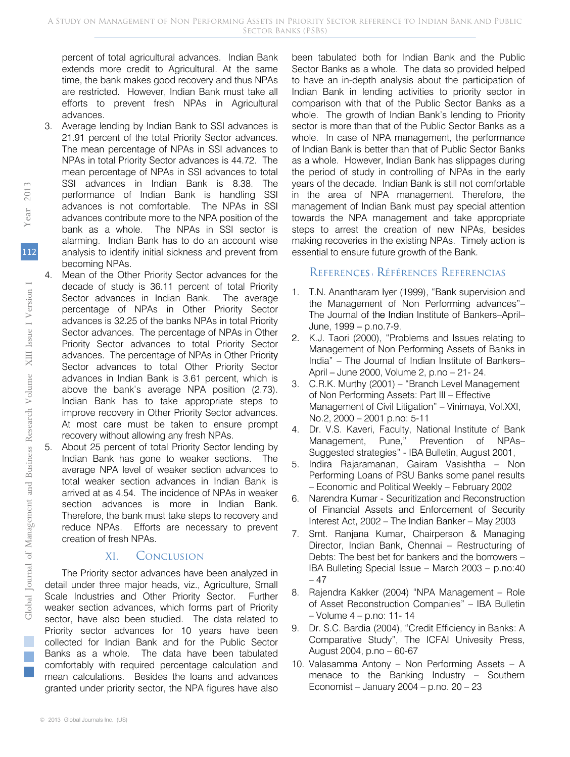percent of total agricultural advances. Indian Bank extends more credit to Agricultural. At the same time, the bank makes good recovery and thus NPAs are restricted. However, Indian Bank must take all efforts to prevent fresh NPAs in Agricultural advances.

- 3. Average lending by Indian Bank to SSI advances is 21.91 percent of the total Priority Sector advances. The mean percentage of NPAs in SSI advances to NPAs in total Priority Sector advances is 44.72. The mean percentage of NPAs in SSI advances to total SSI advances in Indian Bank is 8.38. The performance of Indian Bank is handling SSI advances is not comfortable. The NPAs in SSI advances contribute more to the NPA position of the bank as a whole. The NPAs in SSI sector is alarming. Indian Bank has to do an account wise analysis to identify initial sickness and prevent from becoming NPAs.
- 4. Mean of the Other Priority Sector advances for the decade of study is 36.11 percent of total Priority Sector advances in Indian Bank. The average percentage of NPAs in Other Priority Sector advances is 32.25 of the banks NPAs in total Priority Sector advances. The percentage of NPAs in Other Priority Sector advances to total Priority Sector advances. The percentage of NPAs in Other Priority Sector advances to total Other Priority Sector advances in Indian Bank is 3.61 percent, which is above the bank's average NPA position (2.73). Indian Bank has to take appropriate steps to improve recovery in Other Priority Sector advances. At most care must be taken to ensure prompt recovery without allowing any fresh NPAs. decade of stuce<br>
Sector advances is 32.<br>
Sector advances is 32.<br>
Sector advances is 32.<br>
Sector advances in Inc.<br>
above the bar<br>
Indian Bank h improve recovery<br>
At most care<br>
recovery withour<br>
5. About 25 perce<br>
Indian Ban
	- 5. About 25 percent of total Priority Sector lending by Indian Bank has gone to weaker sections. The average NPA level of weaker section advances to total weaker section advances in Indian Bank is arrived at as 4.54. The incidence of NPAs in weaker section advances is more in Indian Bank. Therefore, the bank must take steps to recovery and reduce NPAs. Efforts are necessary to prevent creation of fresh NPAs.

## XI. Conclusion

The Priority sector advances have been analyzed in detail under three major heads, viz., Agriculture, Small Scale Industries and Other Priority Sector. Further weaker section advances, which forms part of Priority sector, have also been studied. The data related to Priority sector advances for 10 years have been collected for Indian Bank and for the Public Sector Banks as a whole. The data have been tabulated comfortably with required percentage calculation and mean calculations. Besides the loans and advances granted under priority sector, the NPA figures have also

been tabulated both for Indian Bank and the Public Sector Banks as a whole. The data so provided helped to have an in-depth analysis about the participation of Indian Bank in lending activities to priority sector in comparison with that of the Public Sector Banks as a whole. The growth of Indian Bank's lending to Priority sector is more than that of the Public Sector Banks as a whole. In case of NPA management, the performance of Indian Bank is better than that of Public Sector Banks as a whole. However, Indian Bank has slippages during the period of study in controlling of NPAs in the early years of the decade. Indian Bank is still not comfortable in the area of NPA management. Therefore, the management of Indian Bank must pay special attention towards the NPA management and take appropriate steps to arrest the creation of new NPAs, besides making recoveries in the existing NPAs. Timely action is essential to ensure future growth of the Bank.

## REFERENCES RÉFÉRENCES REFERENCIAS

- 1. T.N. Anantharam Iyer (1999), "Bank supervision and I the Management of Non Performing advances"– The Journal of the Indian Institute of Bankers-April-June, 1999 – p.no.7-9.
- 2. K.J. Taori (2000), "Problems and Issues relating to Management of Non Performing Assets of Banks in India" – The Journal of Indian Institute of Bankers– April – June 2000, Volume 2, p.no – 21- 24. Jun
- 3. C.R.K. Murthy (2001) "Branch Level Management of Non Performing Assets: Part III – Effective Management of Civil Litigation" – Vinimaya, Vol.XXI, No.2, 2000 – 2001 p.no: 5-11
- 4. Dr. V.S. Kaveri, Faculty, National Institute of Bank Management, Pune," Prevention of NPAs– Suggested strategies" - IBA Bulletin, August 2001,
- 5. Indira Rajaramanan, Gairam Vasishtha Non Performing Loans of PSU Banks some panel results – Economic and Political Weekly – February 2002
- 6. Narendra Kumar Securitization and Reconstruction of Financial Assets and Enforcement of Security Interest Act, 2002 – The Indian Banker – May 2003
- 7. Smt. Ranjana Kumar, Chairperson & Managing Director, Indian Bank, Chennai – Restructuring of Debts: The best bet for bankers and the borrowers – IBA Bulleting Special Issue – March 2003 – p.no:40 – 47
- 8. Rajendra Kakker (2004) "NPA Management Role of Asset Reconstruction Companies" – IBA Bulletin – Volume 4 – p.no: 11- 14
- 9. Dr. S.C. Bardia (2004), "Credit Efficiency in Banks: A Comparative Study", The ICFAI Univesity Press, August 2004, p.no – 60-67
- 10. Valasamma Antony Non Performing Assets A menace to the Banking Industry – Southern Economist – January 2004 – p.no. 20 – 23

112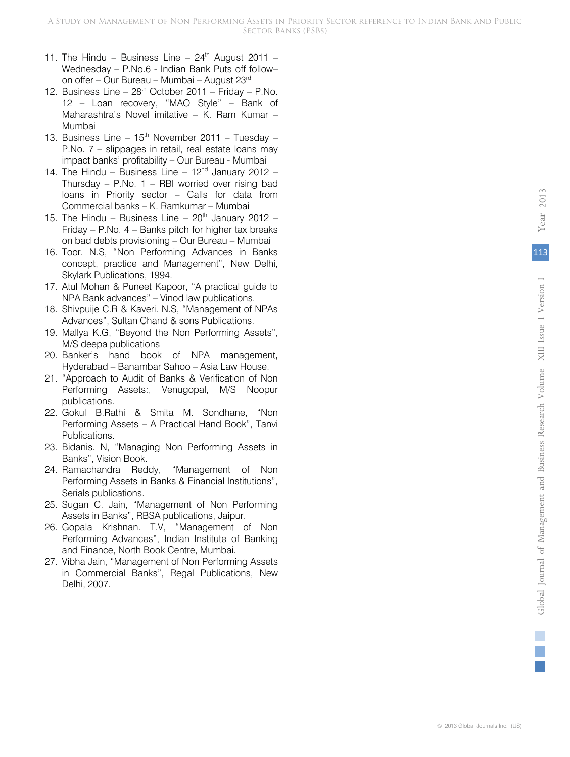- 11. The Hindu Business Line  $24<sup>th</sup>$  August 2011 Wednesday – P.No.6 - Indian Bank Puts off follow– on offer – Our Bureau – Mumbai – August 23rd
- 12. Business Line  $28<sup>th</sup>$  October 2011 Friday P.No. 12 – Loan recovery, "MAO Style" – Bank of Maharashtra's Novel imitative – K. Ram Kumar – Mumbai
- 13. Business Line  $15<sup>th</sup>$  November 2011 Tuesday P.No. 7 – slippages in retail, real estate loans may impact banks' profitability – Our Bureau - Mumbai
- 14. The Hindu Business Line  $12<sup>nd</sup>$  January 2012 Thursday – P.No.  $1$  – RBI worried over rising bad loans in Priority sector – Calls for data from Commercial banks – K. Ramkumar – Mumbai
- 15. The Hindu Business Line  $20<sup>th</sup>$  January 2012 Friday – P.No. 4 – Banks pitch for higher tax breaks on bad debts provisioning – Our Bureau – Mumbai
- 16. Toor. N.S, "Non Performing Advances in Banks concept, practice and Management", New Delhi, Skylark Publications, 1994.
- 17. Atul Mohan & Puneet Kapoor, "A practical guide to NPA Bank advances" – Vinod law publications.
- 18. Shivpuije C.R & Kaveri. N.S, "Management of NPAs Advances", Sultan Chand & sons Publications.
- 19. Mallya K.G, "Beyond the Non Performing Assets", M/S deepa publications
- 20. Banker's hand book of NPA management, Hyderabad – Banambar Sahoo – Asia Law House.
- 21. "Approach to Audit of Banks & Verification of Non Performing Assets:, Venugopal, M/S Noopur publications.
- 22. Gokul B.Rathi & Smita M. Sondhane, "Non Performing Assets – A Practical Hand Book", Tanvi Publications. of NPA management,<br>ahoo – Asia Law House.<br>nks & Verification of Non<br>nugopal, M/S Noopur<br>a M. Sondhane, "Non<br>actical Hand Book", Tanvi<br>on Performing Assets in
- 23. Bidanis. N, "Managing Non Performing Assets in Banks", Vision Book.
- 24. Ramachandra Reddy, "Management of Non Performing Assets in Banks & Financial Institutions", Serials publications.
- 25. Sugan C. Jain, "Management of Non Performing Assets in Banks", RBSA publications, Jaipur.
- 26. Gopala Krishnan. T.V, "Management of Non Performing Advances", Indian Institute of Banking and Finance, North Book Centre, Mumbai.
- 27. Vibha Jain, "Management of Non Performing Assets in Commercial Banks", Regal Publications, New Delhi, 2007.